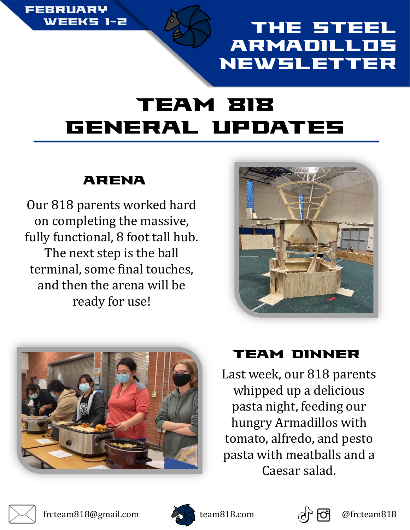

## **The Ste** Armadillos Newsletter

# Team 818 General Updates

### Arena

Our 818 parents worked hard on completing the massive, fully functional, 8 foot tall hub. The next step is the ball terminal, some final touches, and then the arena will be ready for use!





## Team dinner

Last week, our 818 parents whipped up a delicious pasta night, feeding our hungry Armadillos with tomato, alfredo, and pesto pasta with meatballs and a Caesar salad.